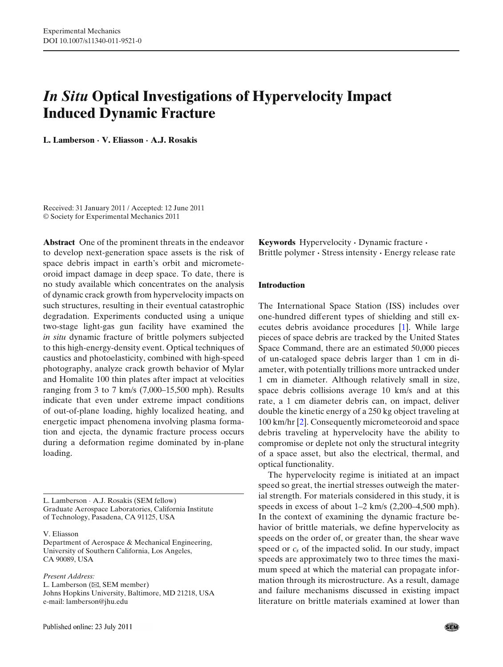# *In Situ* **Optical Investigations of Hypervelocity Impact Induced Dynamic Fracture**

**L. Lamberson · V. Eliasson · A.J. Rosakis**

Received: 31 January 2011 / Accepted: 12 June 2011 © Society for Experimental Mechanics 2011

**Abstract** One of the prominent threats in the endeavor to develop next-generation space assets is the risk of space debris impact in earth's orbit and micrometeoroid impact damage in deep space. To date, there is no study available which concentrates on the analysis of dynamic crack growth from hypervelocity impacts on such structures, resulting in their eventual catastrophic degradation. Experiments conducted using a unique two-stage light-gas gun facility have examined the *in situ* dynamic fracture of brittle polymers subjected to this high-energy-density event. Optical techniques of caustics and photoelasticity, combined with high-speed photography, analyze crack growth behavior of Mylar and Homalite 100 thin plates after impact at velocities ranging from 3 to 7 km/s (7,000–15,500 mph). Results indicate that even under extreme impact conditions of out-of-plane loading, highly localized heating, and energetic impact phenomena involving plasma formation and ejecta, the dynamic fracture process occurs during a deformation regime dominated by in-plane loading.

L. Lamberson · A.J. Rosakis (SEM fellow) Graduate Aerospace Laboratories, California Institute of Technology, Pasadena, CA 91125, USA

V. Eliasson

Department of Aerospace & Mechanical Engineering, University of Southern California, Los Angeles, CA 90089, USA

*Present Address:*

L. Lamberson ( $\boxtimes$ , SEM member) Johns Hopkins University, Baltimore, MD 21218, USA e-mail: lamberson@jhu.edu

**Keywords** Hypervelocity **·** Dynamic fracture **·** Brittle polymer **·** Stress intensity **·** Energy release rate

# **Introduction**

The International Space Station (ISS) includes over one-hundred different types of shielding and still executes debris avoidance procedures [\[1\]](#page-9-0). While large pieces of space debris are tracked by the United States Space Command, there are an estimated 50,000 pieces of un-cataloged space debris larger than 1 cm in diameter, with potentially trillions more untracked under 1 cm in diameter. Although relatively small in size, space debris collisions average 10 km/s and at this rate, a 1 cm diameter debris can, on impact, deliver double the kinetic energy of a 250 kg object traveling at 100 km/hr [\[2\]](#page-9-0). Consequently micrometeoroid and space debris traveling at hypervelocity have the ability to compromise or deplete not only the structural integrity of a space asset, but also the electrical, thermal, and optical functionality.

The hypervelocity regime is initiated at an impact speed so great, the inertial stresses outweigh the material strength. For materials considered in this study, it is speeds in excess of about 1–2 km/s (2,200–4,500 mph). In the context of examining the dynamic fracture behavior of brittle materials, we define hypervelocity as speeds on the order of, or greater than, the shear wave speed or *cs* of the impacted solid. In our study, impact speeds are approximately two to three times the maximum speed at which the material can propagate information through its microstructure. As a result, damage and failure mechanisms discussed in existing impact literature on brittle materials examined at lower than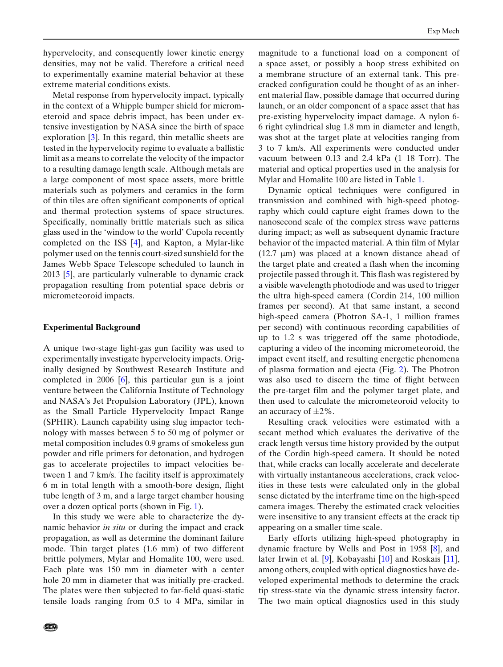hypervelocity, and consequently lower kinetic energy densities, may not be valid. Therefore a critical need to experimentally examine material behavior at these extreme material conditions exists.

Metal response from hypervelocity impact, typically in the context of a Whipple bumper shield for micrometeroid and space debris impact, has been under extensive investigation by NASA since the birth of space exploration [\[3\]](#page-9-0). In this regard, thin metallic sheets are tested in the hypervelocity regime to evaluate a ballistic limit as a means to correlate the velocity of the impactor to a resulting damage length scale. Although metals are a large component of most space assets, more brittle materials such as polymers and ceramics in the form of thin tiles are often significant components of optical and thermal protection systems of space structures. Specifically, nominally brittle materials such as silica glass used in the 'window to the world' Cupola recently completed on the ISS [\[4](#page-9-0)], and Kapton, a Mylar-like polymer used on the tennis court-sized sunshield for the James Webb Space Telescope scheduled to launch in 2013 [\[5\]](#page-9-0), are particularly vulnerable to dynamic crack propagation resulting from potential space debris or micrometeoroid impacts.

### **Experimental Background**

A unique two-stage light-gas gun facility was used to experimentally investigate hypervelocity impacts. Originally designed by Southwest Research Institute and completed in 2006 [\[6](#page-9-0)], this particular gun is a joint venture between the California Institute of Technology and NASA's Jet Propulsion Laboratory (JPL), known as the Small Particle Hypervelocity Impact Range (SPHIR). Launch capability using slug impactor technology with masses between 5 to 50 mg of polymer or metal composition includes 0.9 grams of smokeless gun powder and rifle primers for detonation, and hydrogen gas to accelerate projectiles to impact velocities between 1 and 7 km/s. The facility itself is approximately 6 m in total length with a smooth-bore design, flight tube length of 3 m, and a large target chamber housing over a dozen optical ports (shown in Fig. [1\)](#page-2-0).

In this study we were able to characterize the dynamic behavior *in situ* or during the impact and crack propagation, as well as determine the dominant failure mode. Thin target plates (1.6 mm) of two different brittle polymers, Mylar and Homalite 100, were used. Each plate was 150 mm in diameter with a center hole 20 mm in diameter that was initially pre-cracked. The plates were then subjected to far-field quasi-static tensile loads ranging from 0.5 to 4 MPa, similar in

magnitude to a functional load on a component of a space asset, or possibly a hoop stress exhibited on a membrane structure of an external tank. This precracked configuration could be thought of as an inherent material flaw, possible damage that occurred during launch, or an older component of a space asset that has pre-existing hypervelocity impact damage. A nylon 6- 6 right cylindrical slug 1.8 mm in diameter and length, was shot at the target plate at velocities ranging from 3 to 7 km/s. All experiments were conducted under vacuum between 0.13 and 2.4 kPa (1–18 Torr). The material and optical properties used in the analysis for Mylar and Homalite 100 are listed in Table [1.](#page-2-0)

Dynamic optical techniques were configured in transmission and combined with high-speed photography which could capture eight frames down to the nanosecond scale of the complex stress wave patterns during impact; as well as subsequent dynamic fracture behavior of the impacted material. A thin film of Mylar (12.7 μm) was placed at a known distance ahead of the target plate and created a flash when the incoming projectile passed through it. This flash was registered by a visible wavelength photodiode and was used to trigger the ultra high-speed camera (Cordin 214, 100 million frames per second). At that same instant, a second high-speed camera (Photron SA-1, 1 million frames per second) with continuous recording capabilities of up to 1.2 s was triggered off the same photodiode, capturing a video of the incoming micrometeoroid, the impact event itself, and resulting energetic phenomena of plasma formation and ejecta (Fig. [2\)](#page-3-0). The Photron was also used to discern the time of flight between the pre-target film and the polymer target plate, and then used to calculate the micrometeoroid velocity to an accuracy of  $\pm 2\%$ .

Resulting crack velocities were estimated with a secant method which evaluates the derivative of the crack length versus time history provided by the output of the Cordin high-speed camera. It should be noted that, while cracks can locally accelerate and decelerate with virtually instantaneous accelerations, crack velocities in these tests were calculated only in the global sense dictated by the interframe time on the high-speed camera images. Thereby the estimated crack velocities were insensitive to any transient effects at the crack tip appearing on a smaller time scale.

Early efforts utilizing high-speed photography in dynamic fracture by Wells and Post in 1958 [\[8](#page-9-0)], and later Irwin et al. [\[9\]](#page-9-0), Kobayashi [\[10](#page-9-0)] and Roskais [\[11](#page-9-0)], among others, coupled with optical diagnostics have developed experimental methods to determine the crack tip stress-state via the dynamic stress intensity factor. The two main optical diagnostics used in this study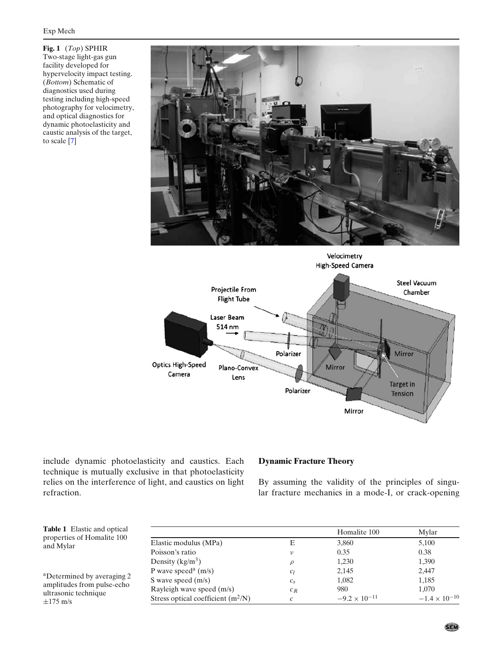<span id="page-2-0"></span>**Fig. 1** (*Top*) SPHIR Two-stage light-gas gun facility developed for hypervelocity impact testing. (*Bottom*) Schematic of diagnostics used during testing including high-speed photography for velocimetry, and optical diagnostics for dynamic photoelasticity and caustic analysis of the target, to scale [\[7\]](#page-9-0)





include dynamic photoelasticity and caustics. Each technique is mutually exclusive in that photoelasticity relies on the interference of light, and caustics on light refraction.

# **Dynamic Fracture Theory**

By assuming the validity of the principles of singular fracture mechanics in a mode-I, or crack-opening

**Table 1** Elastic and optical properties of Homalite 100 and Mylar

aDetermined by averaging 2 amplitudes from pulse-echo ultrasonic technique  $\pm$ 175 m/s

|                                      |               | Homalite 100           | Mylar                  |
|--------------------------------------|---------------|------------------------|------------------------|
| Elastic modulus (MPa)                | Е             | 3,860                  | 5,100                  |
| Poisson's ratio                      | ν             | 0.35                   | 0.38                   |
| Density $(kg/m^3)$                   | ρ             | 1,230                  | 1,390                  |
| P wave speed <sup>a</sup> $(m/s)$    | $c_l$         | 2,145                  | 2,447                  |
| S wave speed $(m/s)$                 | $c_{s}$       | 1,082                  | 1,185                  |
| Rayleigh wave speed (m/s)            | $c_R$         | 980                    | 1,070                  |
| Stress optical coefficient $(m^2/N)$ | $\mathcal{C}$ | $-9.2 \times 10^{-11}$ | $-1.4 \times 10^{-10}$ |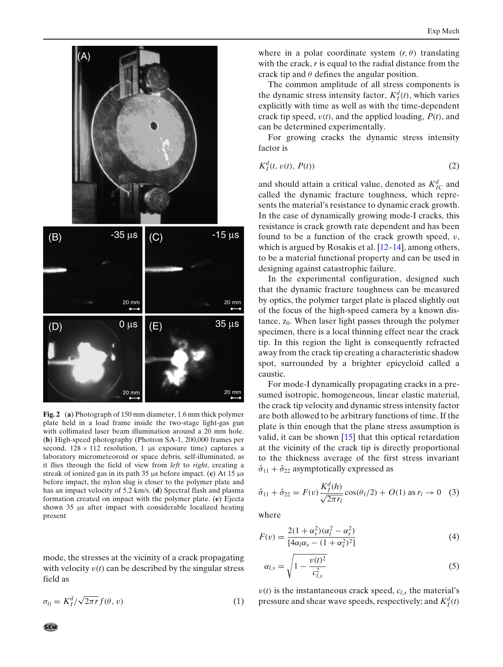<span id="page-3-0"></span>

**Fig. 2** (**a**) Photograph of 150 mm diameter, 1.6 mm thick polymer plate held in a load frame inside the two-stage light-gas gun with collimated laser beam illumination around a 20 mm hole. (**b**) High-speed photography (Photron SA-1, 200,000 frames per second,  $128 \times 112$  resolution, 1 μs exposure time) captures a laboratory micrometeoroid or space debris, self-illuminated, as it flies through the field of view from *left* to *right*, creating a streak of ionized gas in its path 35 μs before impact. (**c**) At 15 μs before impact, the nylon slug is closer to the polymer plate and has an impact velocity of 5.2 km/s. (**d**) Spectral flash and plasma formation created on impact with the polymer plate. (**e**) Ejecta shown 35 μs after impact with considerable localized heating present

mode, the stresses at the vicinity of a crack propagating with velocity  $v(t)$  can be described by the singular stress field as

$$
\sigma_{ij} = K_I^d / \sqrt{2\pi r} f(\theta, v) \tag{1}
$$

where in a polar coordinate system  $(r, \theta)$  translating with the crack, *r* is equal to the radial distance from the crack tip and  $\theta$  defines the angular position.

The common amplitude of all stress components is the dynamic stress intensity factor,  $K_I^d(t)$ , which varies explicitly with time as well as with the time-dependent crack tip speed, v(*t*), and the applied loading, *P*(*t*), and can be determined experimentally.

For growing cracks the dynamic stress intensity factor is

$$
K_I^d(t, v(t), P(t))\tag{2}
$$

and should attain a critical value, denoted as  $K_{IC}^d$  and called the dynamic fracture toughness, which represents the material's resistance to dynamic crack growth. In the case of dynamically growing mode-I cracks, this resistance is crack growth rate dependent and has been found to be a function of the crack growth speed,  $v$ , which is argued by Rosakis et al. [\[12–14](#page-9-0)], among others, to be a material functional property and can be used in designing against catastrophic failure.

In the experimental configuration, designed such that the dynamic fracture toughness can be measured by optics, the polymer target plate is placed slightly out of the focus of the high-speed camera by a known distance,  $z_0$ . When laser light passes through the polymer specimen, there is a local thinning effect near the crack tip. In this region the light is consequently refracted away from the crack tip creating a characteristic shadow spot, surrounded by a brighter epicycloid called a caustic.

For mode-I dynamically propagating cracks in a presumed isotropic, homogeneous, linear elastic material, the crack tip velocity and dynamic stress intensity factor are both allowed to be arbitrary functions of time. If the plate is thin enough that the plane stress assumption is valid, it can be shown [\[15\]](#page-9-0) that this optical retardation at the vicinity of the crack tip is directly proportional to the thickness average of the first stress invariant  $\hat{\sigma}_{11} + \hat{\sigma}_{22}$  asymptotically expressed as

$$
\hat{\sigma}_{11} + \hat{\sigma}_{22} = F(v) \frac{K_I^d(h)}{\sqrt{2\pi r_l}} \cos(\theta_l/2) + O(1) \text{ as } r_l \to 0 \quad (3)
$$

where

$$
F(v) = \frac{2(1 + \alpha_s^2)(\alpha_l^2 - \alpha_s^2)}{[4\alpha_l\alpha_s - (1 + \alpha_s^2)^2]}
$$
(4)

$$
\alpha_{l,s} = \sqrt{1 - \frac{v(t)^2}{c_{l,s}^2}} \tag{5}
$$

 $v(t)$  is the instantaneous crack speed,  $c_{l,s}$  the material's pressure and shear wave speeds, respectively; and  $K_I^d(t)$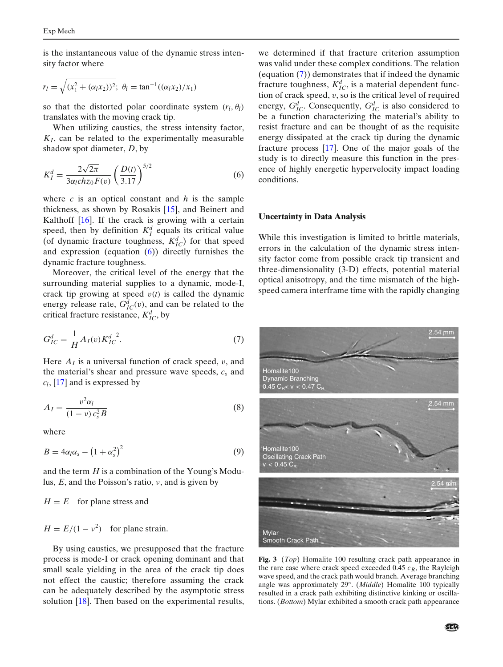<span id="page-4-0"></span>is the instantaneous value of the dynamic stress intensity factor where

$$
r_l = \sqrt{(x_1^2 + (\alpha_l x_2))^2}; \ \theta_l = \tan^{-1}((\alpha_l x_2)/x_1)
$$

so that the distorted polar coordinate system  $(r_l, \theta_l)$ translates with the moving crack tip.

When utilizing caustics, the stress intensity factor,  $K_I$ , can be related to the experimentally measurable shadow spot diameter, *D*, by

$$
K_I^d = \frac{2\sqrt{2\pi}}{3\alpha_I ch z_0 F(v)} \left(\frac{D(t)}{3.17}\right)^{5/2}
$$
 (6)

where *c* is an optical constant and *h* is the sample thickness, as shown by Rosakis [\[15](#page-9-0)], and Beinert and Kalthoff  $[16]$ . If the crack is growing with a certain speed, then by definition  $K_I^d$  equals its critical value (of dynamic fracture toughness,  $K_{IC}^d$ ) for that speed and expression (equation (6)) directly furnishes the dynamic fracture toughness.

Moreover, the critical level of the energy that the surrounding material supplies to a dynamic, mode-I, crack tip growing at speed  $v(t)$  is called the dynamic energy release rate,  $G_{IC}^d(v)$ , and can be related to the critical fracture resistance,  $K_{IC}^d$ , by

$$
G_{IC}^d = \frac{1}{H} A_I(v) K_{IC}^{d^2}.
$$
 (7)

Here  $A<sub>I</sub>$  is a universal function of crack speed, v, and the material's shear and pressure wave speeds, *cs* and *cl*, [\[17](#page-9-0)] and is expressed by

$$
A_I = \frac{v^2 \alpha_I}{(1 - v)c_s^2 B} \tag{8}
$$

where

$$
B = 4\alpha_l \alpha_s - \left(1 + \alpha_s^2\right)^2 \tag{9}
$$

and the term *H* is a combination of the Young's Modulus, *E*, and the Poisson's ratio, ν, and is given by

 $H = E$  for plane stress and

 $H = E/(1 - v^2)$  for plane strain.

By using caustics, we presupposed that the fracture process is mode-I or crack opening dominant and that small scale yielding in the area of the crack tip does not effect the caustic; therefore assuming the crack can be adequately described by the asymptotic stress solution [\[18\]](#page-9-0). Then based on the experimental results,

we determined if that fracture criterion assumption was valid under these complex conditions. The relation (equation (7)) demonstrates that if indeed the dynamic fracture toughness,  $K_{IC}^d$ , is a material dependent function of crack speed,  $v$ , so is the critical level of required energy,  $G_{IC}^d$ . Consequently,  $G_{IC}^d$  is also considered to be a function characterizing the material's ability to resist fracture and can be thought of as the requisite energy dissipated at the crack tip during the dynamic fracture process [\[17](#page-9-0)]. One of the major goals of the study is to directly measure this function in the presence of highly energetic hypervelocity impact loading conditions.

#### **Uncertainty in Data Analysis**

While this investigation is limited to brittle materials, errors in the calculation of the dynamic stress intensity factor come from possible crack tip transient and three-dimensionality (3-D) effects, potential material optical anisotropy, and the time mismatch of the highspeed camera interframe time with the rapidly changing



**Fig. 3** (*Top*) Homalite 100 resulting crack path appearance in the rare case where crack speed exceeded 0.45  $c_R$ , the Rayleigh wave speed, and the crack path would branch. Average branching angle was approximately 29◦. (*Middle*) Homalite 100 typically resulted in a crack path exhibiting distinctive kinking or oscillations. (*Bottom*) Mylar exhibited a smooth crack path appearance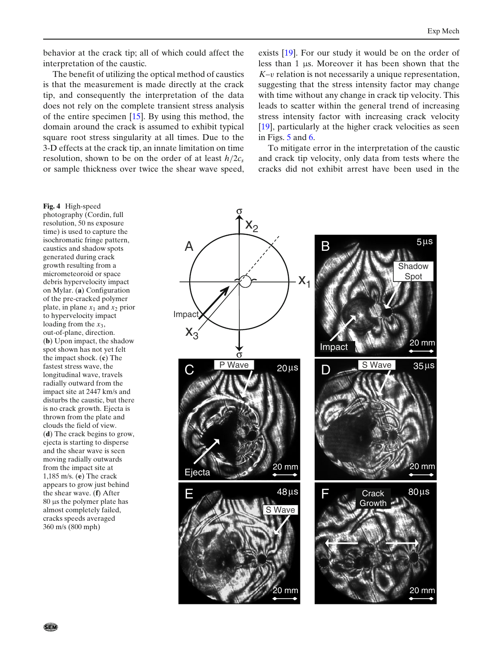<span id="page-5-0"></span>behavior at the crack tip; all of which could affect the interpretation of the caustic.

The benefit of utilizing the optical method of caustics is that the measurement is made directly at the crack tip, and consequently the interpretation of the data does not rely on the complete transient stress analysis of the entire specimen [\[15](#page-9-0)]. By using this method, the domain around the crack is assumed to exhibit typical square root stress singularity at all times. Due to the 3-D effects at the crack tip, an innate limitation on time resolution, shown to be on the order of at least  $h/2c_s$ or sample thickness over twice the shear wave speed, exists [\[19](#page-9-0)]. For our study it would be on the order of less than 1 μs. Moreover it has been shown that the *K*–v relation is not necessarily a unique representation, suggesting that the stress intensity factor may change with time without any change in crack tip velocity. This leads to scatter within the general trend of increasing stress intensity factor with increasing crack velocity [\[19](#page-9-0)], particularly at the higher crack velocities as seen in Figs. [5](#page-6-0) and [6.](#page-8-0)

To mitigate error in the interpretation of the caustic and crack tip velocity, only data from tests where the cracks did not exhibit arrest have been used in the

 $X_1$  $x_2$  $X_3$  $\overline{\phantom{a}}$  $B = 5 \mu s$ Impact Shadow Spot 20 mm  $S$  Wave  $35 \mu s$ 20 mm  $48 \mu s$ S Wave Crack 80μs Growth 20 mm  $20 \mu s$ 20 mm P Wave **Ejecta** A 20 mm Impact σ σ

**Fig. 4** High-speed photography (Cordin, full resolution, 50 ns exposure time) is used to capture the isochromatic fringe pattern, caustics and shadow spots generated during crack growth resulting from a micrometeoroid or space debris hypervelocity impact on Mylar. (**a**) Configuration of the pre-cracked polymer plate, in plane  $x_1$  and  $x_2$  prior to hypervelocity impact loading from the  $x_3$ , out-of-plane, direction. (**b**) Upon impact, the shadow spot shown has not yet felt the impact shock. (**c**) The fastest stress wave, the longitudinal wave, travels radially outward from the impact site at 2447 km/s and disturbs the caustic, but there is no crack growth. Ejecta is thrown from the plate and clouds the field of view. (**d**) The crack begins to grow, ejecta is starting to disperse and the shear wave is seen moving radially outwards from the impact site at 1,185 m/s. (**e**) The crack appears to grow just behind the shear wave. (**f**) After 80 μs the polymer plate has almost completely failed, cracks speeds averaged 360 m/s (800 mph)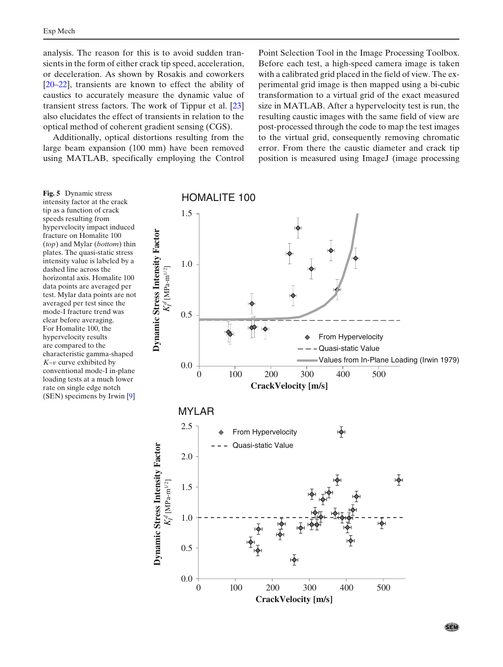<span id="page-6-0"></span>analysis. The reason for this is to avoid sudden transients in the form of either crack tip speed, acceleration, or deceleration. As shown by Rosakis and coworkers [\[20–22](#page-9-0)], transients are known to effect the ability of caustics to accurately measure the dynamic value of transient stress factors. The work of Tippur et al. [\[23\]](#page-9-0) also elucidates the effect of transients in relation to the optical method of coherent gradient sensing (CGS).

Additionally, optical distortions resulting from the large beam expansion (100 mm) have been removed using MATLAB, specifically employing the Control

Point Selection Tool in the Image Processing Toolbox. Before each test, a high-speed camera image is taken with a calibrated grid placed in the field of view. The experimental grid image is then mapped using a bi-cubic transformation to a virtual grid of the exact measured size in MATLAB. After a hypervelocity test is run, the resulting caustic images with the same field of view are post-processed through the code to map the test images to the virtual grid, consequently removing chromatic error. From there the caustic diameter and crack tip position is measured using ImageJ (image processing

**Fig. 5** Dynamic stress intensity factor at the crack tip as a function of crack speeds resulting from hypervelocity impact induced fracture on Homalite 100 (*top*) and Mylar (*bottom*) thin plates. The quasi-static stress intensity value is labeled by a dashed line across the horizontal axis. Homalite 100 data points are averaged per test. Mylar data points are not averaged per test since the mode-I fracture trend was clear before averaging. For Homalite 100, the hypervelocity results are compared to the characteristic gamma-shaped *K*–v curve exhibited by conventional mode-I in-plane loading tests at a much lower rate on single edge notch (SEN) specimens by Irwin [\[9](#page-9-0)]

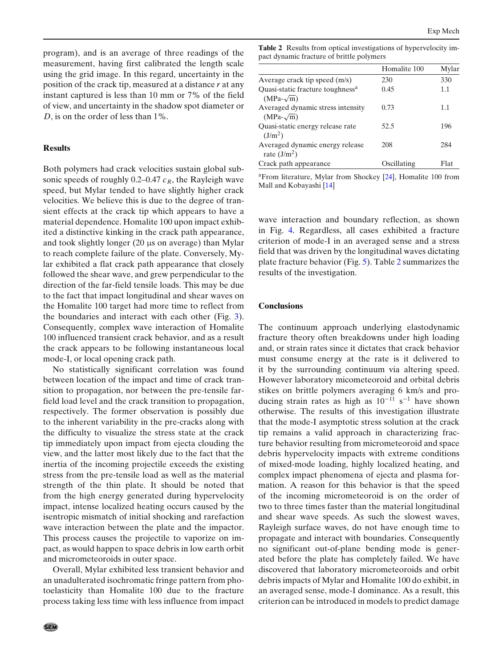program), and is an average of three readings of the measurement, having first calibrated the length scale using the grid image. In this regard, uncertainty in the position of the crack tip, measured at a distance *r* at any instant captured is less than 10 mm or 7% of the field of view, and uncertainty in the shadow spot diameter or *D*, is on the order of less than 1%.

# **Results**

Both polymers had crack velocities sustain global subsonic speeds of roughly  $0.2-0.47$   $c_R$ , the Rayleigh wave speed, but Mylar tended to have slightly higher crack velocities. We believe this is due to the degree of transient effects at the crack tip which appears to have a material dependence. Homalite 100 upon impact exhibited a distinctive kinking in the crack path appearance, and took slightly longer (20 μs on average) than Mylar to reach complete failure of the plate. Conversely, Mylar exhibited a flat crack path appearance that closely followed the shear wave, and grew perpendicular to the direction of the far-field tensile loads. This may be due to the fact that impact longitudinal and shear waves on the Homalite 100 target had more time to reflect from the boundaries and interact with each other (Fig. [3\)](#page-4-0). Consequently, complex wave interaction of Homalite 100 influenced transient crack behavior, and as a result the crack appears to be following instantaneous local mode-I, or local opening crack path.

No statistically significant correlation was found between location of the impact and time of crack transition to propagation, nor between the pre-tensile farfield load level and the crack transition to propagation, respectively. The former observation is possibly due to the inherent variability in the pre-cracks along with the difficulty to visualize the stress state at the crack tip immediately upon impact from ejecta clouding the view, and the latter most likely due to the fact that the inertia of the incoming projectile exceeds the existing stress from the pre-tensile load as well as the material strength of the thin plate. It should be noted that from the high energy generated during hypervelocity impact, intense localized heating occurs caused by the isentropic mismatch of initial shocking and rarefaction wave interaction between the plate and the impactor. This process causes the projectile to vaporize on impact, as would happen to space debris in low earth orbit and micrometeoroids in outer space.

Overall, Mylar exhibited less transient behavior and an unadulterated isochromatic fringe pattern from photoelasticity than Homalite 100 due to the fracture process taking less time with less influence from impact

|                                                                  | Homalite 100 | Mylar |
|------------------------------------------------------------------|--------------|-------|
| Average crack tip speed (m/s)                                    | 230          | 330   |
| Quasi-static fracture toughness <sup>a</sup><br>$(MPa-\sqrt{m})$ | 0.45         | 1.1   |
| Averaged dynamic stress intensity<br>$(MPa-\sqrt{m})$            | 0.73         | 1.1   |
| Quasi-static energy release rate<br>(J/m <sup>2</sup> )          | 52.5         | 196   |
| Averaged dynamic energy release<br>rate $(J/m2)$                 | 208          | 284   |
| Crack path appearance                                            | Oscillating  | Flat  |

 $a$ From literature, Mylar from Shockey [\[24\]](#page-9-0), Homalite 100 from Mall and Kobayashi [\[14\]](#page-9-0)

wave interaction and boundary reflection, as shown in Fig. [4.](#page-5-0) Regardless, all cases exhibited a fracture criterion of mode-I in an averaged sense and a stress field that was driven by the longitudinal waves dictating plate fracture behavior (Fig. [5\)](#page-6-0). Table 2 summarizes the results of the investigation.

#### **Conclusions**

The continuum approach underlying elastodynamic fracture theory often breakdowns under high loading and, or strain rates since it dictates that crack behavior must consume energy at the rate is it delivered to it by the surrounding continuum via altering speed. However laboratory micometeoroid and orbital debris stikes on brittle polymers averaging 6 km/s and producing strain rates as high as  $10^{-11}$  s<sup>-1</sup> have shown otherwise. The results of this investigation illustrate that the mode-I asymptotic stress solution at the crack tip remains a valid approach in characterizing fracture behavior resulting from micrometeoroid and space debris hypervelocity impacts with extreme conditions of mixed-mode loading, highly localized heating, and complex impact phenomena of ejecta and plasma formation. A reason for this behavior is that the speed of the incoming micrometeoroid is on the order of two to three times faster than the material longitudinal and shear wave speeds. As such the slowest waves, Rayleigh surface waves, do not have enough time to propagate and interact with boundaries. Consequently no significant out-of-plane bending mode is generated before the plate has completely failed. We have discovered that laboratory micrometeoroids and orbit debris impacts of Mylar and Homalite 100 do exhibit, in an averaged sense, mode-I dominance. As a result, this criterion can be introduced in models to predict damage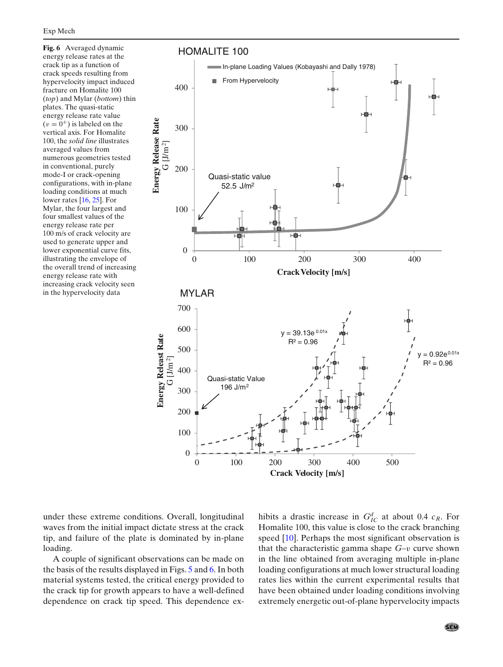<span id="page-8-0"></span>**Fig. 6** Averaged dynamic energy release rates at the crack tip as a function of crack speeds resulting from hypervelocity impact induced fracture on Homalite 100 (*top*) and Mylar (*bottom*) thin plates. The quasi-static energy release rate value  $(v = 0^+)$  is labeled on the vertical axis. For Homalite 100, the *solid line* illustrates averaged values from numerous geometries tested in conventional, purely mode-I or crack-opening configurations, with in-plane loading conditions at much lower rates [\[16](#page-9-0), [25\]](#page-9-0). For Mylar, the four largest and four smallest values of the energy release rate per 100 m/s of crack velocity are used to generate upper and lower exponential curve fits, illustrating the envelope of the overall trend of increasing energy release rate with increasing crack velocity seen in the hypervelocity data



under these extreme conditions. Overall, longitudinal waves from the initial impact dictate stress at the crack tip, and failure of the plate is dominated by in-plane loading.

A couple of significant observations can be made on the basis of the results displayed in Figs. [5](#page-6-0) and 6. In both material systems tested, the critical energy provided to the crack tip for growth appears to have a well-defined dependence on crack tip speed. This dependence ex-

hibits a drastic increase in  $G^d_{IC}$  at about 0.4  $c_R$ . For Homalite 100, this value is close to the crack branching speed [\[10\]](#page-9-0). Perhaps the most significant observation is that the characteristic gamma shape  $G-v$  curve shown in the line obtained from averaging multiple in-plane loading configurations at much lower structural loading rates lies within the current experimental results that have been obtained under loading conditions involving extremely energetic out-of-plane hypervelocity impacts